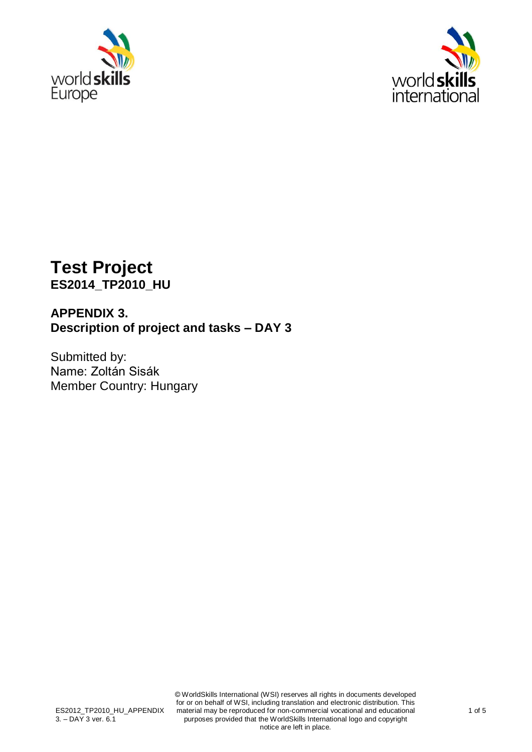



# **Test Project ES2014\_TP2010\_HU**

## **APPENDIX 3. Description of project and tasks – DAY 3**

Submitted by: Name: Zoltán Sisák Member Country: Hungary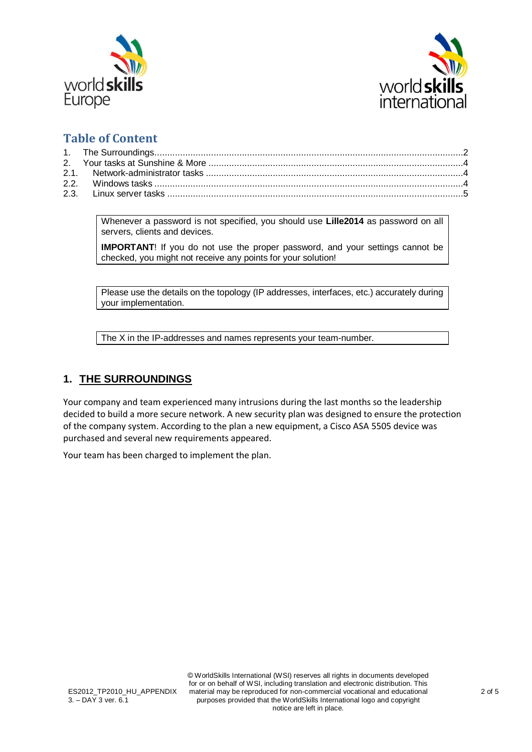



## **Table of Content**

Whenever a password is not specified, you should use **Lille2014** as password on all servers, clients and devices.

**IMPORTANT**! If you do not use the proper password, and your settings cannot be checked, you might not receive any points for your solution!

Please use the details on the topology (IP addresses, interfaces, etc.) accurately during your implementation.

The X in the IP-addresses and names represents your team-number.

## <span id="page-1-0"></span>**1. THE SURROUNDINGS**

Your company and team experienced many intrusions during the last months so the leadership decided to build a more secure network. A new security plan was designed to ensure the protection of the company system. According to the plan a new equipment, a Cisco ASA 5505 device was purchased and several new requirements appeared.

Your team has been charged to implement the plan.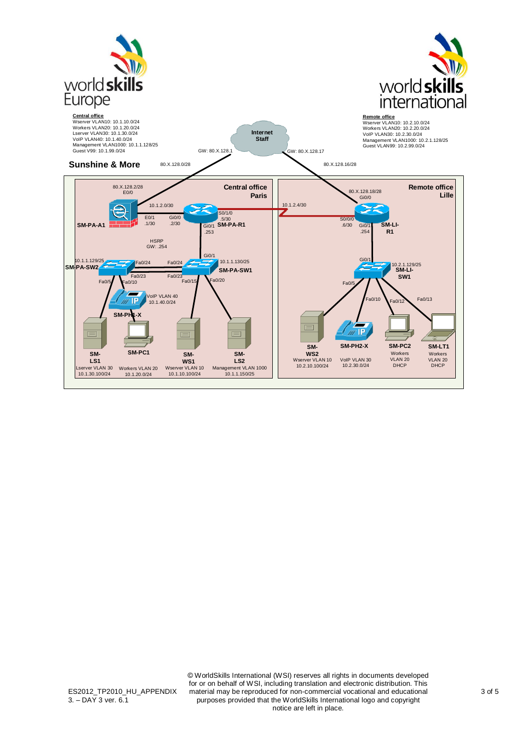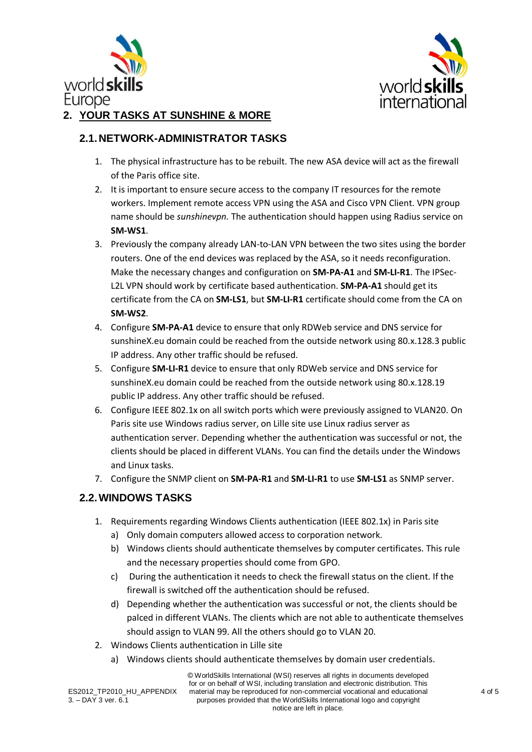



## <span id="page-3-0"></span>**2. YOUR TASKS AT SUNSHINE & MORE**

#### <span id="page-3-1"></span>**2.1.NETWORK-ADMINISTRATOR TASKS**

- 1. The physical infrastructure has to be rebuilt. The new ASA device will act as the firewall of the Paris office site.
- 2. It is important to ensure secure access to the company IT resources for the remote workers. Implement remote access VPN using the ASA and Cisco VPN Client. VPN group name should be *sunshinevpn.* The authentication should happen using Radius service on **SM-WS1**.
- 3. Previously the company already LAN-to-LAN VPN between the two sites using the border routers. One of the end devices was replaced by the ASA, so it needs reconfiguration. Make the necessary changes and configuration on **SM-PA-A1** and **SM-LI-R1**. The IPSec-L2L VPN should work by certificate based authentication. **SM-PA-A1** should get its certificate from the CA on **SM-LS1**, but **SM-LI-R1** certificate should come from the CA on **SM-WS2**.
- 4. Configure **SM-PA-A1** device to ensure that only RDWeb service and DNS service for sunshineX.eu domain could be reached from the outside network using 80.x.128.3 public IP address. Any other traffic should be refused.
- 5. Configure **SM-LI-R1** device to ensure that only RDWeb service and DNS service for sunshineX.eu domain could be reached from the outside network using 80.x.128.19 public IP address. Any other traffic should be refused.
- 6. Configure IEEE 802.1x on all switch ports which were previously assigned to VLAN20. On Paris site use Windows radius server, on Lille site use Linux radius server as authentication server. Depending whether the authentication was successful or not, the clients should be placed in different VLANs. You can find the details under the Windows and Linux tasks.
- 7. Configure the SNMP client on **SM-PA-R1** and **SM-LI-R1** to use **SM-LS1** as SNMP server.

## <span id="page-3-2"></span>**2.2.WINDOWS TASKS**

- 1. Requirements regarding Windows Clients authentication (IEEE 802.1x) in Paris site
	- a) Only domain computers allowed access to corporation network.
	- b) Windows clients should authenticate themselves by computer certificates. This rule and the necessary properties should come from GPO.
	- c) During the authentication it needs to check the firewall status on the client. If the firewall is switched off the authentication should be refused.
	- d) Depending whether the authentication was successful or not, the clients should be palced in different VLANs. The clients which are not able to authenticate themselves should assign to VLAN 99. All the others should go to VLAN 20.
- 2. Windows Clients authentication in Lille site
	- a) Windows clients should authenticate themselves by domain user credentials.